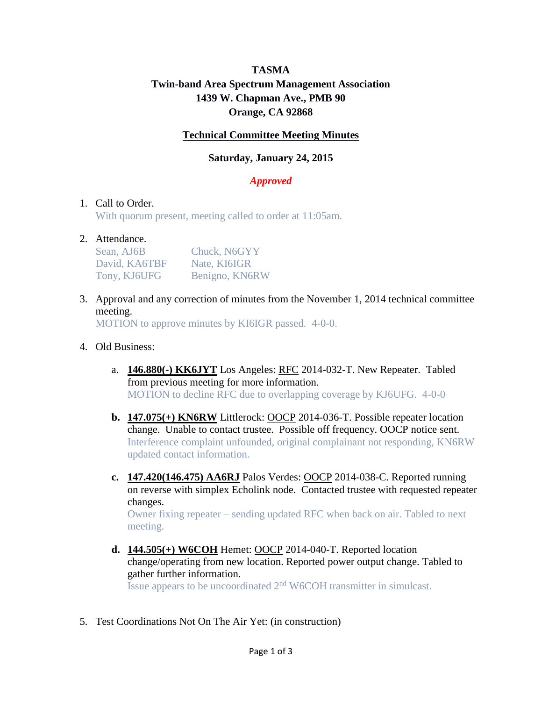# **TASMA Twin-band Area Spectrum Management Association 1439 W. Chapman Ave., PMB 90 Orange, CA 92868**

### **Technical Committee Meeting Minutes**

# **Saturday, January 24, 2015**

# *Approved*

### 1. Call to Order.

With quorum present, meeting called to order at 11:05am.

#### 2. Attendance.

| Sean, AJ6B    | Chuck, N6GYY   |
|---------------|----------------|
| David, KA6TBF | Nate, KI6IGR   |
| Tony, KJ6UFG  | Benigno, KN6RW |

3. Approval and any correction of minutes from the November 1, 2014 technical committee meeting.

MOTION to approve minutes by KI6IGR passed. 4-0-0.

#### 4. Old Business:

- a. **146.880(-) KK6JYT** Los Angeles: RFC 2014-032-T. New Repeater. Tabled from previous meeting for more information. MOTION to decline RFC due to overlapping coverage by KJ6UFG. 4-0-0
- **b. 147.075(+) KN6RW** Littlerock: OOCP 2014-036-T. Possible repeater location change. Unable to contact trustee. Possible off frequency. OOCP notice sent. Interference complaint unfounded, original complainant not responding, KN6RW updated contact information.
- **c. 147.420(146.475) AA6RJ** Palos Verdes: OOCP 2014-038-C. Reported running on reverse with simplex Echolink node. Contacted trustee with requested repeater changes. Owner fixing repeater – sending updated RFC when back on air. Tabled to next

meeting.

- **d. 144.505(+) W6COH** Hemet: OOCP 2014-040-T. Reported location change/operating from new location. Reported power output change. Tabled to gather further information. Issue appears to be uncoordinated  $2<sup>nd</sup>$  W6COH transmitter in simulcast.
- 5. Test Coordinations Not On The Air Yet: (in construction)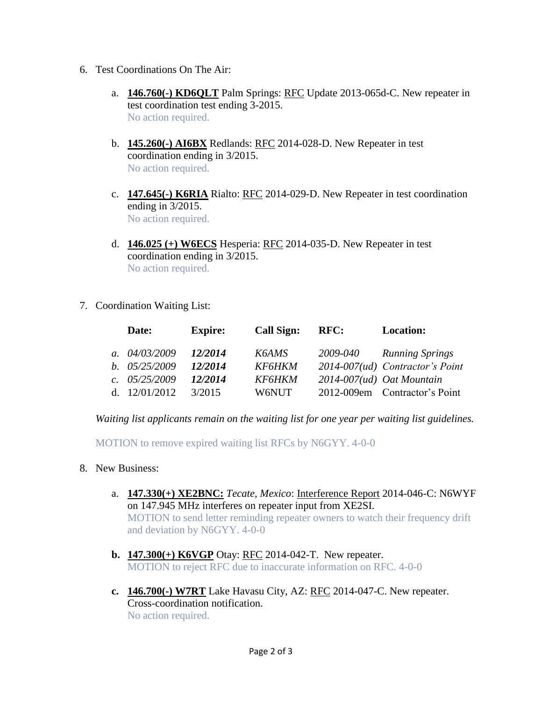- 6. Test Coordinations On The Air:
	- a. **146.760(-) KD6QLT** Palm Springs: RFC Update 2013-065d-C. New repeater in test coordination test ending 3-2015. No action required.
	- b. **145.260(-) AI6BX** Redlands: RFC 2014-028-D. New Repeater in test coordination ending in 3/2015. No action required.
	- c. **147.645(-) K6RIA** Rialto: RFC 2014-029-D. New Repeater in test coordination ending in 3/2015. No action required.
	- d. **146.025 (+) W6ECS** Hesperia: RFC 2014-035-D. New Repeater in test coordination ending in 3/2015. No action required.
- 7. Coordination Waiting List:

|     | Date:           | <b>Expire:</b> | <b>Call Sign:</b>    | <b>RFC:</b> | <b>Location:</b>                  |
|-----|-----------------|----------------|----------------------|-------------|-----------------------------------|
|     | a. $04/03/2009$ | 12/2014        | K6AMS                | 2009-040    | <b>Running Springs</b>            |
|     | b. $05/25/2009$ | 12/2014        | <i><b>KF6HKM</b></i> |             | $2014-007(ud)$ Contractor's Point |
|     | c. $05/25/2009$ | 12/2014        | <i><b>KF6HKM</b></i> |             | $2014-007(ud)$ Oat Mountain       |
| d – | 12/01/2012      | 3/2015         | W6NUT                |             | 2012-009em Contractor's Point     |

*Waiting list applicants remain on the waiting list for one year per waiting list guidelines.*

MOTION to remove expired waiting list RFCs by N6GYY. 4-0-0

- 8. New Business:
	- a. **147.330(+) XE2BNC:** *Tecate, Mexico*: Interference Report 2014-046-C: N6WYF on 147.945 MHz interferes on repeater input from XE2SI. MOTION to send letter reminding repeater owners to watch their frequency drift and deviation by N6GYY. 4-0-0
	- **b. 147.300(+) K6VGP** Otay: RFC 2014-042-T. New repeater. MOTION to reject RFC due to inaccurate information on RFC. 4-0-0
	- **c. 146.700(-) W7RT** Lake Havasu City, AZ: RFC 2014-047-C. New repeater. Cross-coordination notification. No action required.